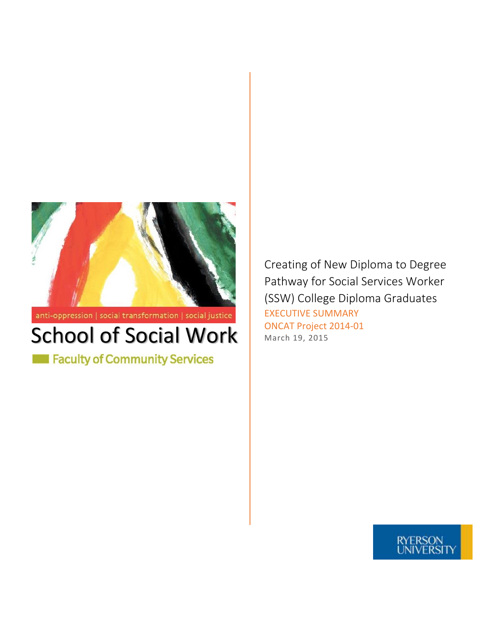

 $\mathsf{anti}\text{-}\mathsf{oppression}$  | social transformation | social justice

## School of Social Work March 19, 2015

Faculty of Community Services

Creating of New Diploma to Degree Pathway for Social Services Worker (SSW) College Diploma Graduates EXECUTIVE SUMMARY